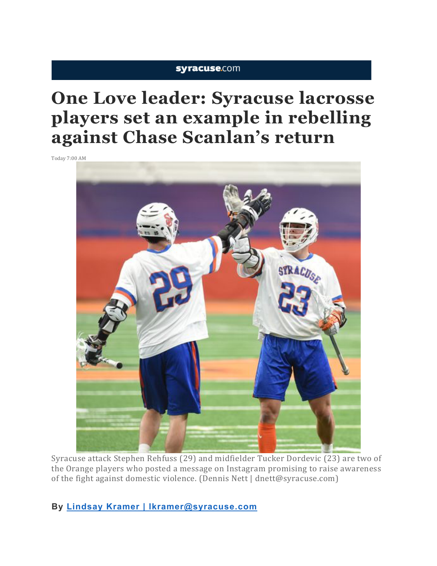# syracuse.com

# **One Love leader: Syracuse lacrosse players set an example in rebelling against Chase Scanlan's return**

Today 7:00 AM



Syracuse attack Stephen Rehfuss (29) and midfielder Tucker Dordevic (23) are two of the Orange players who posted a message on Instagram promising to raise awareness of the fight against domestic violence. (Dennis Nett | dnett@syracuse.com)

**By Lindsay Kramer | lkramer@syracuse.com**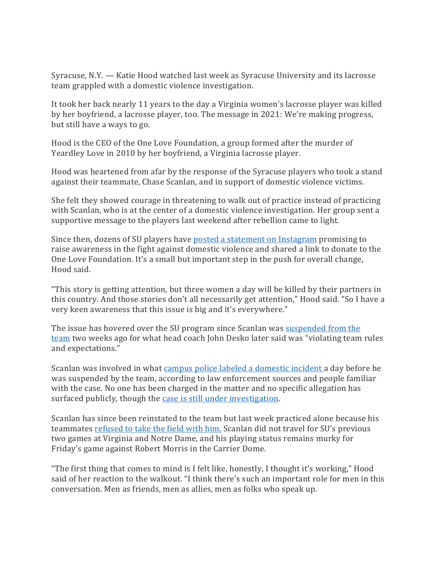Syracuse, N.Y. — Katie Hood watched last week as Syracuse University and its lacrosse team grappled with a domestic violence investigation.

It took her back nearly 11 years to the day a Virginia women's lacrosse player was killed by her boyfriend, a lacrosse player, too. The message in 2021: We're making progress, but still have a ways to go.

Hood is the CEO of the One Love Foundation, a group formed after the murder of Yeardley Love in 2010 by her boyfriend, a Virginia lacrosse player.

Hood was heartened from afar by the response of the Syracuse players who took a stand against their teammate, Chase Scanlan, and in support of domestic violence victims.

She felt they showed courage in threatening to walk out of practice instead of practicing with Scanlan, who is at the center of a domestic violence investigation. Her group sent a supportive message to the players last weekend after rebellion came to light.

Since then, dozens of SU players have posted a statement on Instagram promising to raise awareness in the fight against domestic violence and shared a link to donate to the One Love Foundation. It's a small but important step in the push for overall change, Hood said.

"This story is getting attention, but three women a day will be killed by their partners in this country. And those stories don't all necessarily get attention," Hood said. "So I have a very keen awareness that this issue is big and it's everywhere."

The issue has hovered over the SU program since Scanlan was suspended from the team two weeks ago for what head coach John Desko later said was "violating team rules and expectations."

Scanlan was involved in what campus police labeled a domestic incident a day before he was suspended by the team, according to law enforcement sources and people familiar with the case. No one has been charged in the matter and no specific allegation has surfaced publicly, though the case is still under investigation.

Scanlan has since been reinstated to the team but last week practiced alone because his teammates refused to take the field with him. Scanlan did not travel for SU's previous two games at Virginia and Notre Dame, and his playing status remains murky for Friday's game against Robert Morris in the Carrier Dome.

"The first thing that comes to mind is I felt like, honestly, I thought it's working," Hood said of her reaction to the walkout. "I think there's such an important role for men in this conversation. Men as friends, men as allies, men as folks who speak up.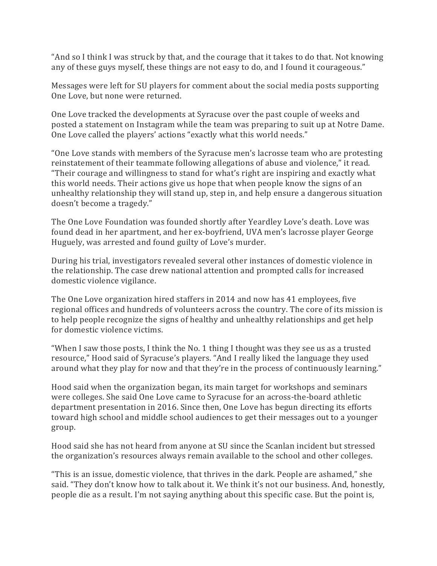"And so I think I was struck by that, and the courage that it takes to do that. Not knowing any of these guys myself, these things are not easy to do, and I found it courageous."

Messages were left for SU players for comment about the social media posts supporting One Love, but none were returned.

One Love tracked the developments at Syracuse over the past couple of weeks and posted a statement on Instagram while the team was preparing to suit up at Notre Dame. One Love called the players' actions "exactly what this world needs."

"One Love stands with members of the Syracuse men's lacrosse team who are protesting reinstatement of their teammate following allegations of abuse and violence," it read. "Their courage and willingness to stand for what's right are inspiring and exactly what this world needs. Their actions give us hope that when people know the signs of an unhealthy relationship they will stand up, step in, and help ensure a dangerous situation doesn't become a tragedy."

The One Love Foundation was founded shortly after Yeardley Love's death. Love was found dead in her apartment, and her ex-boyfriend, UVA men's lacrosse player George Huguely, was arrested and found guilty of Love's murder.

During his trial, investigators revealed several other instances of domestic violence in the relationship. The case drew national attention and prompted calls for increased domestic violence vigilance.

The One Love organization hired staffers in 2014 and now has 41 employees, five regional offices and hundreds of volunteers across the country. The core of its mission is to help people recognize the signs of healthy and unhealthy relationships and get help for domestic violence victims.

"When I saw those posts, I think the No. 1 thing I thought was they see us as a trusted resource," Hood said of Syracuse's players. "And I really liked the language they used around what they play for now and that they're in the process of continuously learning."

Hood said when the organization began, its main target for workshops and seminars were colleges. She said One Love came to Syracuse for an across-the-board athletic department presentation in 2016. Since then, One Love has begun directing its efforts toward high school and middle school audiences to get their messages out to a younger group.

Hood said she has not heard from anyone at SU since the Scanlan incident but stressed the organization's resources always remain available to the school and other colleges.

"This is an issue, domestic violence, that thrives in the dark. People are ashamed," she said. "They don't know how to talk about it. We think it's not our business. And, honestly, people die as a result. I'm not saying anything about this specific case. But the point is,